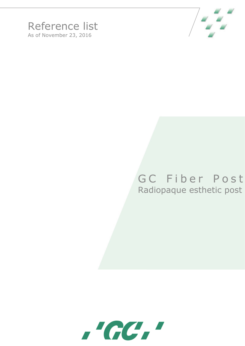



## GC Fiber Post Radiopaque esthetic post

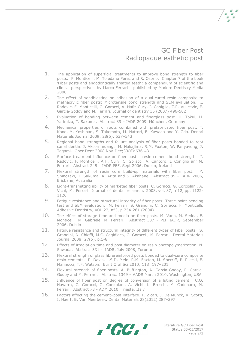

 $\frac{1}{2}$ 

- 1. The application of superficial treatments to improve bond strength to fiber posts. F. Monticelli, M. Toledano Perez and R. Osorio. Chapter 7 of the book 'Fiber posts and endodontically treated teeth: a compendium of scientific and clinical perspectives' by Marco Ferrari – published by Modern Dentistry Media 2008
- 2. The effect of sandblasting on adhesion of a dual-cured resin composite to methacrylic fiber posts: Microtensile bond strength and SEM evaluation. I. Radovic, F. Monticelli, C. Goracci, A. Hafiz Cury, I. Coniglio, Z.R. Vulicevic, F. Garcia-Godoy and M. Ferrari. Journal of dentistry 35 (2007) 496-502
- 3. Evaluation of bonding between cement and fiberglass post. H. Tokui, H. Yarimizu, T. Sakuma. Abstract 89 – IADR 2009, München, Germany
- 4. Mechanical properties of roots combined with prefabricated fiber post. T. Kono, M. Yoshinari, S. Takemoto, M. Hattori, E. Kawada and Y. Oda. Dental Materials Journal 2009; 28(5): 537–543
- 5. Regional bond strengths and failure analysis of fiber posts bonded to root canal dentin. J. [Aksornmuang,](http://www.ncbi.nlm.nih.gov/pubmed?term=%22Aksornmuang%20J%22%5BAuthor%5D&itool=EntrezSystem2.PEntrez.Pubmed.Pubmed_ResultsPanel.Pubmed_RVAbstract) M. [Nakajima,](http://www.ncbi.nlm.nih.gov/pubmed?term=%22Nakajima%20M%22%5BAuthor%5D&itool=EntrezSystem2.PEntrez.Pubmed.Pubmed_ResultsPanel.Pubmed_RVAbstract) R.M. [Foxton,](http://www.ncbi.nlm.nih.gov/pubmed?term=%22Foxton%20RM%22%5BAuthor%5D&itool=EntrezSystem2.PEntrez.Pubmed.Pubmed_ResultsPanel.Pubmed_RVAbstract) W. [Panyayong,](http://www.ncbi.nlm.nih.gov/pubmed?term=%22Panyayong%20W%22%5BAuthor%5D&itool=EntrezSystem2.PEntrez.Pubmed.Pubmed_ResultsPanel.Pubmed_RVAbstract) J. Tagami. [Oper Dent](javascript:AL_get(this,%20) 2008 Nov-Dec;33(6):636-43
- 6. Surface treatment influence on fiber post resin cement bond strength. I. Radovic, F. Monticelli, A.H. Cury, C. Goracci, A. Cantoro, I. Coniglio anf M. Ferrari. Abstract 245 – IADR PEF, Sept 2006, Dublin, Ireland
- 7. Flexural strength of resin core build-up materials with fiber post. Y. Shinozaki, T. Sakuma, A. Arita and S. Akahane. Abstract 85 – IADR 2006, Brisbane, Australia
- 8. Light-transmitting ability of marketed fiber posts. C. Goracci, G. Corciolani, A. Vichi, M. Ferrari. Journal of dental research, 2008, vol. 87, nº12, pp. 1122-1126
- 9. Fatigue resistance and structural integrity of fiber posts: Three-point bending test and SEM evaluation. M. Ferrari, S. Grandini, C. Gorracci, F. Monticelli. Adhesive Dentistry, VOL.22, n°3, p.254-261 (2004)
- 10. The effect of storage time and media on fiber posts. M. Vano, M. Sedda, F. Monticelli, M. Gabriele, M. Ferrari. Abstract 337 - PEF IADR, September 2006, Dublin
- 11. Fatigue resistance and structural integrity of different types of Fiber posts. S. Grandini, N. Chieffi, M.C. Cagidiaco, C. Goracci , M. Ferrari. Dental Materials Journal 2008; 27(5), p.1-8
- 12. Effects of irradiation time and post diameter on resin photopolymerization. N. Sawada. Abstract 331 - IADR, July 2008, Toronto
- 13. Flexural strength of glass fibrereinforced posts bonded to dual-cure composite resin cements. P. Davis, L.S.D. Melo, R.M. Foxton, M. Sherriff, P. Pilecki, F. Mannocci, T.F. Watson. Eur J Oral Sci 2010; 118: 197–201.
- 14. Flexural strength of fiber posts. A. Buffington, A. Garcia-Godoy, F. Garcia-Godoy and M. Ferrari. Abstract 1349 – AADR March 2010, Washington, USA
- 15. Influence of fiber post on degree of conversion of a luting cement. C.O. Navarra, C. Goracci, G. Corciolani, A. Vichi, L. Breschi, M. Cadenaro, M. Ferrari. Abstract 73 - ADM 2010, Trieste, Italy
- 16. Factors affecting the cement–post interface. F. Zicari, J. De Munck, R. Scotti, I. Naert, B. Van Meerbeek. Dental Materials 28(2012) 287–297